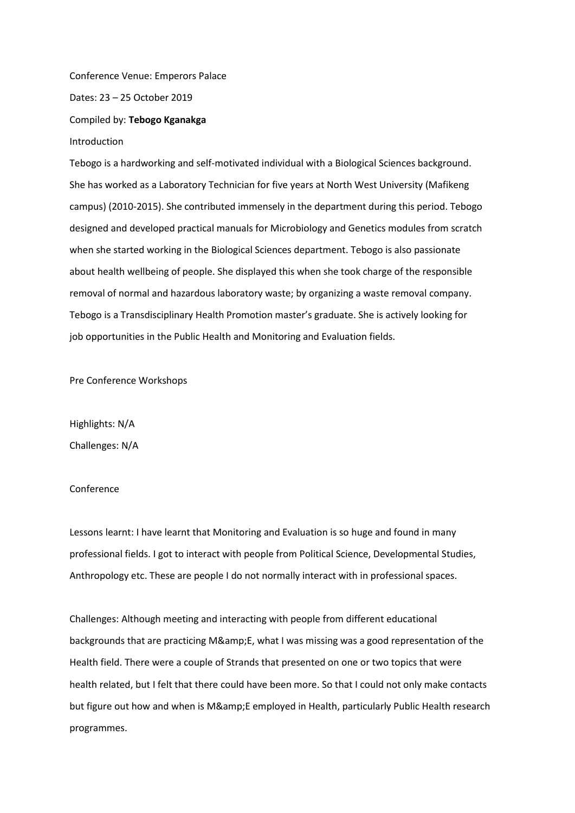Conference Venue: Emperors Palace

Dates: 23 – 25 October 2019

Compiled by: **Tebogo Kganakga**

Introduction

Tebogo is a hardworking and self-motivated individual with a Biological Sciences background. She has worked as a Laboratory Technician for five years at North West University (Mafikeng campus) (2010-2015). She contributed immensely in the department during this period. Tebogo designed and developed practical manuals for Microbiology and Genetics modules from scratch when she started working in the Biological Sciences department. Tebogo is also passionate about health wellbeing of people. She displayed this when she took charge of the responsible removal of normal and hazardous laboratory waste; by organizing a waste removal company. Tebogo is a Transdisciplinary Health Promotion master's graduate. She is actively looking for job opportunities in the Public Health and Monitoring and Evaluation fields.

Pre Conference Workshops

Highlights: N/A Challenges: N/A

## Conference

Lessons learnt: I have learnt that Monitoring and Evaluation is so huge and found in many professional fields. I got to interact with people from Political Science, Developmental Studies, Anthropology etc. These are people I do not normally interact with in professional spaces.

Challenges: Although meeting and interacting with people from different educational backgrounds that are practicing M& E, what I was missing was a good representation of the Health field. There were a couple of Strands that presented on one or two topics that were health related, but I felt that there could have been more. So that I could not only make contacts but figure out how and when is M&E employed in Health, particularly Public Health research programmes.